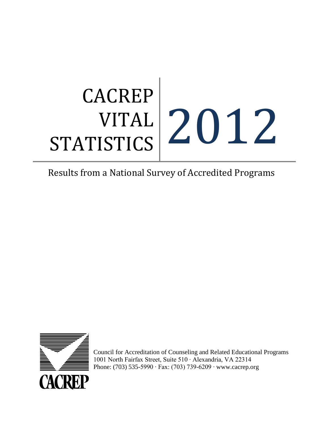# **CACREP** VITAL STATISTICS 2012

# Results from a National Survey of Accredited Programs



Council for Accreditation of Counseling and Related Educational Programs 1001 North Fairfax Street, Suite 510 ∙ Alexandria, VA 22314 Phone: (703) 535-5990 ∙ Fax: (703) 739-6209 ∙ [www.cacrep.org](http://www.cacrep.org/)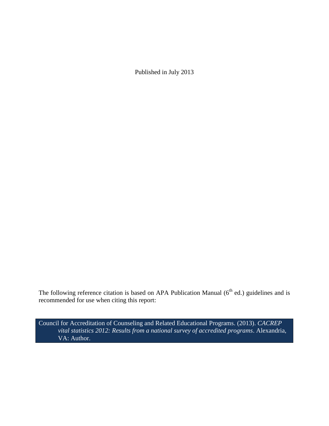Published in July 2013

The following reference citation is based on APA Publication Manual  $(6<sup>th</sup>$  ed.) guidelines and is recommended for use when citing this report:

Council for Accreditation of Counseling and Related Educational Programs. (2013). *CACREP vital statistics 2012: Results from a national survey of accredited programs*. Alexandria, VA: Author.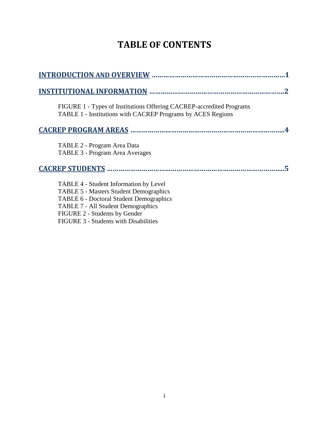# **TABLE OF CONTENTS**

| FIGURE 1 - Types of Institutions Offering CACREP-accredited Programs<br>TABLE 1 - Institutions with CACREP Programs by ACES Regions                                                                                                                              |
|------------------------------------------------------------------------------------------------------------------------------------------------------------------------------------------------------------------------------------------------------------------|
| <b>CACREP PROGRAM AREAS </b>                                                                                                                                                                                                                                     |
| TABLE 2 - Program Area Data<br>TABLE 3 - Program Area Averages                                                                                                                                                                                                   |
| <b>CACREP STUDENTS</b>                                                                                                                                                                                                                                           |
| TABLE 4 - Student Information by Level<br><b>TABLE 5 - Masters Student Demographics</b><br><b>TABLE 6 - Doctoral Student Demographics</b><br><b>TABLE 7 - All Student Demographics</b><br>FIGURE 2 - Students by Gender<br>FIGURE 3 - Students with Disabilities |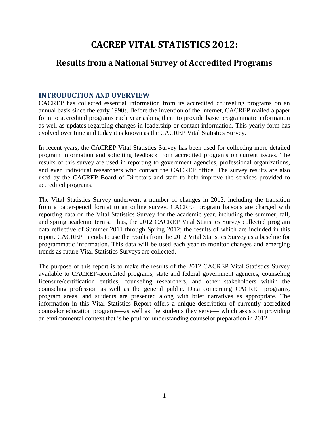# **CACREP VITAL STATISTICS 2012:**

# **Results from a National Survey of Accredited Programs**

# **INTRODUCTION AND OVERVIEW**

CACREP has collected essential information from its accredited counseling programs on an annual basis since the early 1990s. Before the invention of the Internet, CACREP mailed a paper form to accredited programs each year asking them to provide basic programmatic information as well as updates regarding changes in leadership or contact information. This yearly form has evolved over time and today it is known as the CACREP Vital Statistics Survey.

In recent years, the CACREP Vital Statistics Survey has been used for collecting more detailed program information and soliciting feedback from accredited programs on current issues. The results of this survey are used in reporting to government agencies, professional organizations, and even individual researchers who contact the CACREP office. The survey results are also used by the CACREP Board of Directors and staff to help improve the services provided to accredited programs.

The Vital Statistics Survey underwent a number of changes in 2012, including the transition from a paper-pencil format to an online survey. CACREP program liaisons are charged with reporting data on the Vital Statistics Survey for the academic year, including the summer, fall, and spring academic terms. Thus, the 2012 CACREP Vital Statistics Survey collected program data reflective of Summer 2011 through Spring 2012; the results of which are included in this report. CACREP intends to use the results from the 2012 Vital Statistics Survey as a baseline for programmatic information. This data will be used each year to monitor changes and emerging trends as future Vital Statistics Surveys are collected.

The purpose of this report is to make the results of the 2012 CACREP Vital Statistics Survey available to CACREP-accredited programs, state and federal government agencies, counseling licensure/certification entities, counseling researchers, and other stakeholders within the counseling profession as well as the general public. Data concerning CACREP programs, program areas, and students are presented along with brief narratives as appropriate. The information in this Vital Statistics Report offers a unique description of currently accredited counselor education programs—as well as the students they serve— which assists in providing an environmental context that is helpful for understanding counselor preparation in 2012.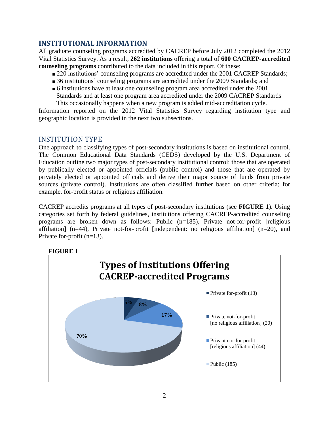# **INSTITUTIONAL INFORMATION**

All graduate counseling programs accredited by CACREP before July 2012 completed the 2012 Vital Statistics Survey. As a result, **262 institutions** offering a total of **600 CACREP-accredited counseling programs** contributed to the data included in this report. Of these:

- 220 institutions' counseling programs are accredited under the 2001 CACREP Standards;
- 36 institutions' counseling programs are accredited under the 2009 Standards; and
- 6 institutions have at least one counseling program area accredited under the 2001 Standards and at least one program area accredited under the 2009 CACREP Standards—

This occasionally happens when a new program is added mid-accreditation cycle. Information reported on the 2012 Vital Statistics Survey regarding institution type and geographic location is provided in the next two subsections.

# INSTITUTION TYPE

One approach to classifying types of post-secondary institutions is based on institutional control. The Common Educational Data Standards (CEDS) developed by the U.S. Department of Education outline two major types of post-secondary institutional control: those that are operated by publically elected or appointed officials (public control) and those that are operated by privately elected or appointed officials and derive their major source of funds from private sources (private control). Institutions are often classified further based on other criteria; for example, for-profit status or religious affiliation.

CACREP accredits programs at all types of post-secondary institutions (see **FIGURE 1**). Using categories set forth by federal guidelines, institutions offering CACREP-accredited counseling programs are broken down as follows: Public (n=185), Private not-for-profit [religious affiliation] (n=44), Private not-for-profit [independent: no religious affiliation] (n=20), and Private for-profit (n=13).



# **FIGURE 1**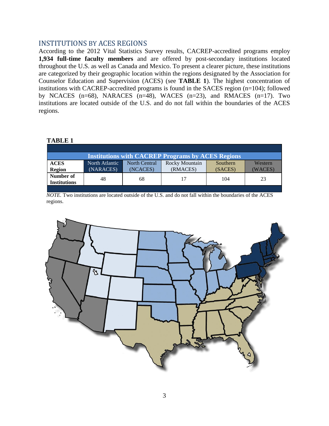## INSTITUTIONS BY ACES REGIONS

According to the 2012 Vital Statistics Survey results, CACREP-accredited programs employ **1,934 full-time faculty members** and are offered by post-secondary institutions located throughout the U.S. as well as Canada and Mexico. To present a clearer picture, these institutions are categorized by their geographic location within the regions designated by the Association for Counselor Education and Supervision (ACES) (see **TABLE 1**). The highest concentration of institutions with CACREP-accredited programs is found in the SACES region (n=104); followed by NCACES (n=68), NARACES (n=48), WACES (n=23), and RMACES (n=17). Two institutions are located outside of the U.S. and do not fall within the boundaries of the ACES regions.

#### **TABLE 1**

| <b>Institutions with CACREP Programs by ACES Regions</b> |                |                      |                |          |         |
|----------------------------------------------------------|----------------|----------------------|----------------|----------|---------|
| <b>ACES</b>                                              | North Atlantic | <b>North Central</b> | Rocky Mountain | Southern | Western |
| <b>Region</b>                                            | (NARACES)      | (NCACES)             | (RMACES)       | (SACES)  | (WACES) |
| Number of<br><b>Institutions</b>                         | 48             | 68                   | 17             | 104      | 23      |
|                                                          |                |                      |                |          |         |

*NOTE.* Two institutions are located outside of the U.S. and do not fall within the boundaries of the ACES regions.

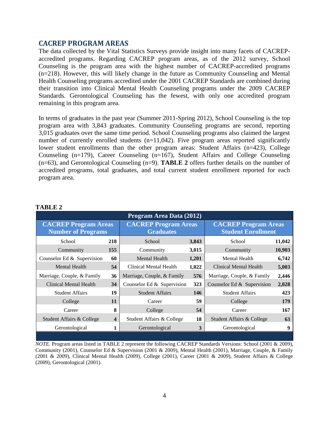## **CACREP PROGRAM AREAS**

The data collected by the Vital Statistics Surveys provide insight into many facets of CACREPaccredited programs. Regarding CACREP program areas, as of the 2012 survey, School Counseling is the program area with the highest number of CACREP-accredited programs (n=218). However, this will likely change in the future as Community Counseling and Mental Health Counseling programs accredited under the 2001 CACREP Standards are combined during their transition into Clinical Mental Health Counseling programs under the 2009 CACREP Standards. Gerontological Counseling has the fewest, with only one accredited program remaining in this program area.

In terms of graduates in the past year (Summer 2011-Spring 2012), School Counseling is the top program area with 3,843 graduates. Community Counseling programs are second, reporting 3,015 graduates over the same time period. School Counseling programs also claimed the largest number of currently enrolled students  $(n=11,042)$ . Five program areas reported significantly lower student enrollments than the other program areas: Student Affairs (n=423), College Counseling (n=179), Career Counseling (n=167), Student Affairs and College Counseling (n=63), and Gerontological Counseling (n=9). **TABLE 2** offers further details on the number of accredited programs, total graduates, and total current student enrollment reported for each program area.

| Program Area Data (2012)                                 |                         |                                                 |       |                                                          |        |
|----------------------------------------------------------|-------------------------|-------------------------------------------------|-------|----------------------------------------------------------|--------|
| <b>CACREP Program Areas</b><br><b>Number of Programs</b> |                         | <b>CACREP Program Areas</b><br><b>Graduates</b> |       | <b>CACREP Program Areas</b><br><b>Student Enrollment</b> |        |
| School                                                   | 218                     | School                                          | 3,843 | School                                                   | 11,042 |
| Community                                                | 155                     | Community                                       | 3,015 | Community                                                | 10,903 |
| Counselor Ed & Supervision                               | 60                      | <b>Mental Health</b>                            | 1,201 | Mental Health                                            | 6,742  |
| Mental Health                                            | 54                      | Clinical Mental Health                          | 1,022 | Clinical Mental Health                                   | 5,003  |
| Marriage, Couple, & Family                               | 36                      | Marriage, Couple, & Family                      | 576   | Marriage, Couple, & Family                               | 2,446  |
| Clinical Mental Health                                   | 34                      | Counselor Ed & Supervision                      | 323   | Counselor Ed $&$ Supervision                             | 2,028  |
| <b>Student Affairs</b>                                   | 19                      | <b>Student Affairs</b>                          | 146   | <b>Student Affairs</b>                                   | 423    |
| College                                                  | 11                      | Career                                          | 59    | College                                                  | 179    |
| Career                                                   | 8                       | College                                         | 54    | Career                                                   | 167    |
| Student Affairs & College                                | $\overline{\mathbf{4}}$ | Student Affairs & College                       | 18    | Student Affairs & College                                | 63     |
| Gerontological                                           |                         | Gerontological                                  | 3     | Gerontological                                           | 9      |

#### **TABLE 2**

*NOTE.* Program areas listed in TABLE 2 represent the following CACREP Standards Versions: School (2001 & 2009), Community (2001), Counselor Ed & Supervision (2001 & 2009), Mental Health (2001), Marriage, Couple, & Family (2001 & 2009), Clinical Mental Health (2009), College (2001), Career (2001 & 2009), Student Affairs & College (2009), Gerontological (2001).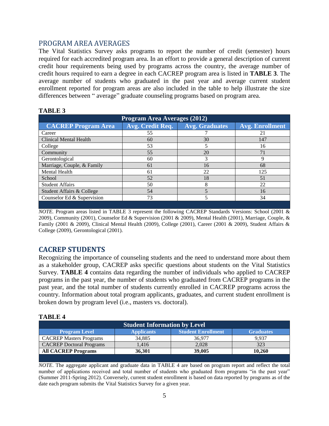## PROGRAM AREA AVERAGES

The Vital Statistics Survey asks programs to report the number of credit (semester) hours required for each accredited program area. In an effort to provide a general description of current credit hour requirements being used by programs across the country, the average number of credit hours required to earn a degree in each CACREP program area is listed in **TABLE 3**. The average number of students who graduated in the past year and average current student enrollment reported for program areas are also included in the table to help illustrate the size differences between " average" graduate counseling programs based on program area.

| Program Area Averages (2012)  |                  |                       |                        |  |
|-------------------------------|------------------|-----------------------|------------------------|--|
| <b>CACREP Program Area</b>    | Avg. Credit Req. | <b>Avg. Graduates</b> | <b>Avg. Enrollment</b> |  |
| Career                        | 55               |                       | 21                     |  |
| <b>Clinical Mental Health</b> | 60               | 30                    | 147                    |  |
| College                       | 53               |                       | 16                     |  |
| Community                     | 55               | 20                    | 71                     |  |
| Gerontological                | 60               | 3                     | 9                      |  |
| Marriage, Couple, & Family    | 61               | 16                    | 68                     |  |
| Mental Health                 | 61               | 22                    | 125                    |  |
| School                        | 52               | 18                    | 51                     |  |
| <b>Student Affairs</b>        | 50               | 8                     | 22                     |  |
| Student Affairs & College     | 54               | 5                     | 16                     |  |
| Counselor Ed & Supervision    | 73               |                       | 34                     |  |

#### **TABLE 3**

*NOTE.* Program areas listed in TABLE 3 represent the following CACREP Standards Versions: School (2001 & 2009), Community (2001), Counselor Ed & Supervision (2001 & 2009), Mental Health (2001), Marriage, Couple, & Family (2001 & 2009), Clinical Mental Health (2009), College (2001), Career (2001 & 2009), Student Affairs & College (2009), Gerontological (2001).

# **CACREP STUDENTS**

Recognizing the importance of counseling students and the need to understand more about them as a stakeholder group, CACREP asks specific questions about students on the Vital Statistics Survey. **TABLE 4** contains data regarding the number of individuals who applied to CACREP programs in the past year, the number of students who graduated from CACREP programs in the past year, and the total number of students currently enrolled in CACREP programs across the country. Information about total program applicants, graduates, and current student enrollment is broken down by program level (i.e., masters vs. doctoral).

#### **TABLE 4**

| <b>Student Information by Level</b>                                                        |        |        |       |  |  |
|--------------------------------------------------------------------------------------------|--------|--------|-------|--|--|
| <b>Student Enrollment</b><br><b>Applicants</b><br><b>Program Level</b><br><b>Graduates</b> |        |        |       |  |  |
| <b>CACREP Masters Programs</b>                                                             | 34.885 | 36.977 | 9.937 |  |  |
| <b>CACREP</b> Doctoral Programs                                                            | 1.416  | 2,028  | 323   |  |  |
| <b>All CACREP Programs</b><br>39,005<br>36.301<br>10.260                                   |        |        |       |  |  |
|                                                                                            |        |        |       |  |  |

*NOTE*. The aggregate applicant and graduate data in TABLE 4 are based on program report and reflect the total number of applications received and total number of students who graduated from programs "in the past year" (Summer 2011-Spring 2012). Conversely, current student enrollment is based on data reported by programs as of the date each program submits the Vital Statistics Survey for a given year.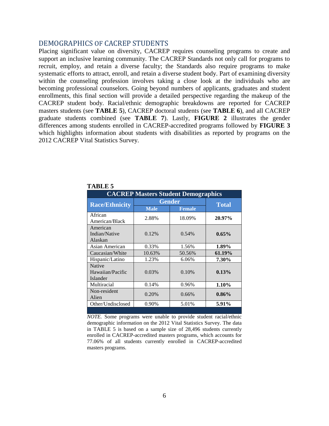#### DEMOGRAPHICS OF CACREP STUDENTS

Placing significant value on diversity, CACREP requires counseling programs to create and support an inclusive learning community. The CACREP Standards not only call for programs to recruit, employ, and retain a diverse faculty; the Standards also require programs to make systematic efforts to attract, enroll, and retain a diverse student body. Part of examining diversity within the counseling profession involves taking a close look at the individuals who are becoming professional counselors. Going beyond numbers of applicants, graduates and student enrollments, this final section will provide a detailed perspective regarding the makeup of the CACREP student body. Racial/ethnic demographic breakdowns are reported for CACREP masters students (see **TABLE 5**), CACREP doctoral students (see **TABLE 6**), and all CACREP graduate students combined (see **TABLE 7**). Lastly, **FIGURE 2** illustrates the gender differences among students enrolled in CACREP-accredited programs followed by **FIGURE 3** which highlights information about students with disabilities as reported by programs on the 2012 CACREP Vital Statistics Survey.

| <b>CACREP Masters Student Demographics</b>    |               |               |          |  |
|-----------------------------------------------|---------------|---------------|----------|--|
| <b>Race/Ethnicity</b>                         | <b>Gender</b> | <b>Total</b>  |          |  |
|                                               | <b>Male</b>   | <b>Female</b> |          |  |
| African<br>American/Black                     | 2.88%         | 18.09%        | 20.97%   |  |
| American<br>Indian/Native                     | 0.12%         | 0.54%         | $0.65\%$ |  |
| Alaskan                                       |               |               |          |  |
| Asian American                                | 0.33%         | 1.56%         | 1.89%    |  |
| Caucasian/White                               | 10.63%        | 50.56%        | 61.19%   |  |
| Hispanic/Latino                               | 1.23%         | 6.06%         | 7.30%    |  |
| <b>Native</b><br>Hawaiian/Pacific<br>Islander | 0.03%         | 0.10%         | 0.13%    |  |
| Multiracial                                   | 0.14%         | 0.96%         | 1.10%    |  |
| Non-resident<br>Alien                         | 0.20%         | 0.66%         | $0.86\%$ |  |
| Other/Undisclosed                             | 0.90%         | 5.01%         | 5.91%    |  |

#### **TABLE 5**

*NOTE.* Some programs were unable to provide student racial/ethnic demographic information on the 2012 Vital Statistics Survey. The data in TABLE 5 is based on a sample size of 28,496 students currently enrolled in CACREP-accredited masters programs, which accounts for 77.06% of all students currently enrolled in CACREP-accredited masters programs.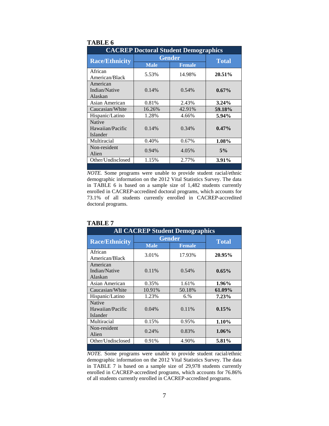| <b>CACREP Doctoral Student Demographics</b> |               |               |          |
|---------------------------------------------|---------------|---------------|----------|
| <b>Race/Ethnicity</b>                       | <b>Gender</b> | <b>Total</b>  |          |
|                                             | <b>Male</b>   | <b>Female</b> |          |
| African<br>American/Black                   | 5.53%         | 14.98%        | 20.51%   |
| American<br>Indian/Native<br>Alaskan        | 0.14%         | 0.54%         | $0.67\%$ |
| Asian American                              | 0.81%         | 2.43%         | $3.24\%$ |
| Caucasian/White                             | 16.26%        | 42.91%        | 59.18%   |
| Hispanic/Latino                             | 1.28%         | 4.66%         | $5.94\%$ |
| Native<br>Hawaiian/Pacific<br>Islander      | 0.14%         | 0.34%         | $0.47\%$ |
| Multiracial                                 | 0.40%         | 0.67%         | 1.08%    |
| Non-resident<br>Alien                       | 0.94%         | 4.05%         | 5%       |
| Other/Undisclosed                           | 1.15%         | 2.77%         | 3.91%    |

#### **TABLE 6**

*NOTE.* Some programs were unable to provide student racial/ethnic demographic information on the 2012 Vital Statistics Survey. The data in TABLE 6 is based on a sample size of 1,482 students currently enrolled in CACREP-accredited doctoral programs, which accounts for 73.1% of all students currently enrolled in CACREP-accredited doctoral programs.

| <b>All CACREP Student Demographics</b> |               |               |          |  |
|----------------------------------------|---------------|---------------|----------|--|
| <b>Race/Ethnicity</b>                  | <b>Gender</b> | <b>Total</b>  |          |  |
|                                        | <b>Male</b>   | <b>Female</b> |          |  |
| African                                | 3.01%         | 17.93%        | 20.95%   |  |
| American/Black                         |               |               |          |  |
| American                               |               |               |          |  |
| Indian/Native                          | 0.11%         | 0.54%         | $0.65\%$ |  |
| Alaskan                                |               |               |          |  |
| Asian American                         | 0.35%         | 1.61%         | 1.96%    |  |
| Caucasian/White                        | 10.91%        | 50.18%        | 61.09%   |  |
| Hispanic/Latino                        | 1.23%         | 6.%           | 7.23%    |  |
| <b>Native</b>                          |               |               |          |  |
| Hawaiian/Pacific                       | 0.04%         | $0.11\%$      | 0.15%    |  |
| Islander                               |               |               |          |  |
| Multiracial                            | 0.15%         | 0.95%         | 1.10%    |  |
| Non-resident                           | $0.24\%$      | 0.83%         | $1.06\%$ |  |
| Alien                                  |               |               |          |  |
| Other/Undisclosed                      | 0.91%         | 4.90%         | 5.81%    |  |
|                                        |               |               |          |  |

#### **TABLE 7**

*NOTE.* Some programs were unable to provide student racial/ethnic demographic information on the 2012 Vital Statistics Survey. The data in TABLE 7 is based on a sample size of 29,978 students currently enrolled in CACREP-accredited programs, which accounts for 76.86% of all students currently enrolled in CACREP-accredited programs.